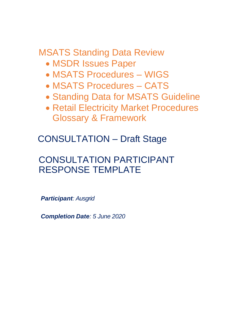MSATS Standing Data Review

- MSDR Issues Paper
- MSATS Procedures WIGS
- MSATS Procedures CATS
- Standing Data for MSATS Guideline
- Retail Electricity Market Procedures Glossary & Framework

CONSULTATION – Draft Stage

# CONSULTATION PARTICIPANT RESPONSE TEMPLATE

*Participant: Ausgrid*

*Completion Date: 5 June 2020*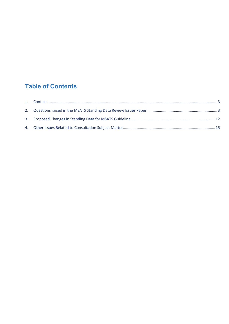# **Table of Contents**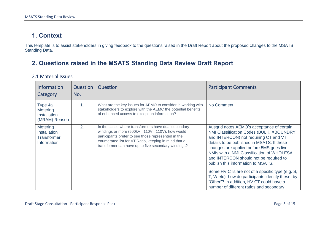## **1. Context**

This template is to assist stakeholders in giving feedback to the questions raised in the Draft Report about the proposed changes to the MSATS Standing Data.

## **2. Questions raised in the MSATS Standing Data Review Draft Report**

#### 2.1 Material Issues

<span id="page-2-1"></span><span id="page-2-0"></span>

| <b>Information</b><br>Category                                       | <b>Question</b><br>No. | Question                                                                                                                                                                                                                                                                     | <b>Participant Comments</b>                                                                                                                                                                                                                                                                                                                                                                                                                                                                                                                              |
|----------------------------------------------------------------------|------------------------|------------------------------------------------------------------------------------------------------------------------------------------------------------------------------------------------------------------------------------------------------------------------------|----------------------------------------------------------------------------------------------------------------------------------------------------------------------------------------------------------------------------------------------------------------------------------------------------------------------------------------------------------------------------------------------------------------------------------------------------------------------------------------------------------------------------------------------------------|
| Type 4a<br><b>Metering</b><br><b>Installation</b><br>(MRAM) Reason   | 1 <sub>1</sub>         | What are the key issues for AEMO to consider in working with<br>stakeholders to explore with the AEMC the potential benefits<br>of enhanced access to exception information?                                                                                                 | No Comment.                                                                                                                                                                                                                                                                                                                                                                                                                                                                                                                                              |
| <b>Metering</b><br><b>Installation</b><br>Transformer<br>Information | 2.                     | In the cases where transformers have dual secondary<br>windings or more (500kV: 110V: 110V), how would<br>participants prefer to see those represented in the<br>enumerated list for VT Ratio, keeping in mind that a<br>transformer can have up to five secondary windings? | Ausgrid notes AEMO's acceptance of certain<br>NMI Classification Codes (BULK, XBOUNDRY<br>and INTERCON) not requiring CT and VT<br>details to be published in MSATS. If these<br>changes are applied before 5MS goes live,<br>NMIs with a NMI Classification of WHOLESAL<br>and INTERCON should not be required to<br>publish this information to MSATS.<br>Some HV CTs are not of a specific type (e.g. S,<br>T, W etc), how do participants identify these, by<br>"Other"? In addition, HV CT could have a<br>number of different ratios and secondary |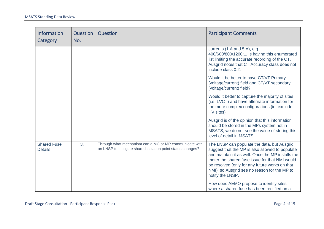| <b>Information</b><br>Category       | Question<br>No. | Question                                                                                                              | <b>Participant Comments</b>                                                                                                                                                                                                                                                                                                 |
|--------------------------------------|-----------------|-----------------------------------------------------------------------------------------------------------------------|-----------------------------------------------------------------------------------------------------------------------------------------------------------------------------------------------------------------------------------------------------------------------------------------------------------------------------|
|                                      |                 |                                                                                                                       | currents (1 A and 5 A), e.g.<br>400/600/800/1200:1. Is having this enumerated<br>list limiting the accurate recording of the CT.<br>Ausgrid notes that CT Accuracy class does not<br>include class 0.2.                                                                                                                     |
|                                      |                 |                                                                                                                       | Would it be better to have CT/VT Primary<br>(voltage/current) field and CT/VT secondary<br>(voltage/current) field?                                                                                                                                                                                                         |
|                                      |                 |                                                                                                                       | Would it better to capture the majority of sites<br>(i.e. LVCT) and have alternate information for<br>the more complex configurations (ie. exclude<br>HV sites).                                                                                                                                                            |
|                                      |                 |                                                                                                                       | Ausgrid is of the opinion that this information<br>should be stored in the MPs system not in<br>MSATS, we do not see the value of storing this<br>level of detail in MSATS.                                                                                                                                                 |
| <b>Shared Fuse</b><br><b>Details</b> | 3.              | Through what mechanism can a MC or MP communicate with<br>an LNSP to instigate shared isolation point status changes? | The LNSP can populate the data, but Ausgrid<br>suggest that the MP is also allowed to populate<br>and maintain it as well. Once the MP installs the<br>meter the shared fuse issue for that NMI would<br>be resolved (only for any future works on that<br>NMI), so Ausgrid see no reason for the MP to<br>notify the LNSP. |
|                                      |                 |                                                                                                                       | How does AEMO propose to identify sites<br>where a shared fuse has been rectified on a                                                                                                                                                                                                                                      |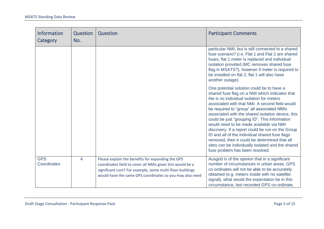| <b>Information</b><br>Category | Question<br>No.  | Question                                                                                                                                                                                                                                | <b>Participant Comments</b>                                                                                                                                                                                                                                                                                                                                                                                                                                                                                                                                                                                                              |
|--------------------------------|------------------|-----------------------------------------------------------------------------------------------------------------------------------------------------------------------------------------------------------------------------------------|------------------------------------------------------------------------------------------------------------------------------------------------------------------------------------------------------------------------------------------------------------------------------------------------------------------------------------------------------------------------------------------------------------------------------------------------------------------------------------------------------------------------------------------------------------------------------------------------------------------------------------------|
|                                |                  |                                                                                                                                                                                                                                         | particular NMI, but is still connected to a shared<br>fuse scenario? (i.e. Flat 1 and Flat 2 are shared<br>fuses, flat 1 meter is replaced and individual<br>isolation provided (MC removes shared fuse<br>flag in MSATS?), however if meter is required to<br>be installed on flat 2, flat 1 will also have<br>another outage).                                                                                                                                                                                                                                                                                                         |
|                                |                  |                                                                                                                                                                                                                                         | One potential solution could be to have a<br>shared fuse flag on a NMI which indicates that<br>the is no individual isolation for meters<br>associated with that NMI. A second field would<br>be required to "group" all associated NMIs<br>associated with the shared isolation device, this<br>could be just "grouping ID". This information<br>would need to be made available via NMI<br>discovery. If a report could be run on the Group<br>ID and all of the individual shared fuse flags<br>removed, then it could be determined that all<br>sites can be individually isolated and the shared<br>fuse problem has been resolved. |
| <b>GPS</b><br>Coordinates      | $\overline{4}$ . | Please explain the benefits for expanding the GPS<br>coordinates field to cover all NMIs given this would be a<br>significant cost? For example, some multi-floor buildings<br>would have the same GPS coordinates so you may also need | Ausgrid is of the opinion that in a significant<br>number of circumstances in urban areas, GPS<br>co-ordinates will not be able to be accurately<br>obtained (e.g. meters inside with no satellite<br>signal), what would the expectation be in this<br>circumstance, last recorded GPS co-ordinate,                                                                                                                                                                                                                                                                                                                                     |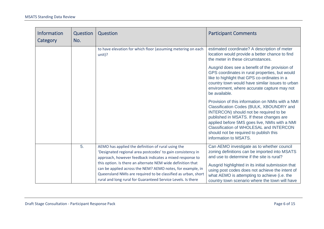| <b>Information</b><br>Category | Question<br>No. | Question                                                                                                                                                                                                                                                                                                                                                                                                                                    | <b>Participant Comments</b>                                                                                                                                                                                                                                                                                                                              |
|--------------------------------|-----------------|---------------------------------------------------------------------------------------------------------------------------------------------------------------------------------------------------------------------------------------------------------------------------------------------------------------------------------------------------------------------------------------------------------------------------------------------|----------------------------------------------------------------------------------------------------------------------------------------------------------------------------------------------------------------------------------------------------------------------------------------------------------------------------------------------------------|
|                                |                 | to have elevation for which floor (assuming metering on each<br>unit)?                                                                                                                                                                                                                                                                                                                                                                      | estimated coordinate? A description of meter<br>location would provide a better chance to find<br>the meter in these circumstances.                                                                                                                                                                                                                      |
|                                |                 |                                                                                                                                                                                                                                                                                                                                                                                                                                             | Ausgrid does see a benefit of the provision of<br>GPS coordinates in rural properties, but would<br>like to highlight that GPS co-ordinates in a<br>country town would have similar issues to urban<br>environment, where accurate capture may not<br>be available.                                                                                      |
|                                |                 |                                                                                                                                                                                                                                                                                                                                                                                                                                             | Provision of this information on NMIs with a NMI<br>Classification Codes (BULK, XBOUNDRY and<br>INTERCON) should not be required to be<br>published in MSATS. If these changes are<br>applied before 5MS goes live, NMIs with a NMI<br><b>Classification of WHOLESAL and INTERCON</b><br>should not be required to publish this<br>information to MSATS. |
|                                | 5.              | AEMO has applied the definition of rural using the<br>'Designated regional area postcodes' to gain consistency in<br>approach, however feedback indicates a mixed response to<br>this option. Is there an alternate NEM wide definition that<br>can be applied across the NEM? AEMO notes, for example, in<br>Queensland NMIs are required to be classified as urban, short<br>rural and long rural for Guaranteed Service Levels. Is there | Can AEMO investigate as to whether council<br>zoning definitions can be imported into MSATS<br>and use to determine if the site is rural?<br>Ausgrid highlighted in its initial submission that<br>using post codes does not achieve the intent of<br>what AEMO is attempting to achieve (i.e. the<br>country town scenario where the town will have     |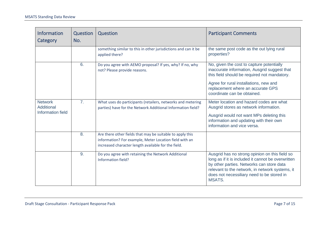| <b>Information</b><br>Category | Question<br>No. | Question                                                                                                                                                                   | <b>Participant Comments</b>                                                                                                                                                                                                                                         |
|--------------------------------|-----------------|----------------------------------------------------------------------------------------------------------------------------------------------------------------------------|---------------------------------------------------------------------------------------------------------------------------------------------------------------------------------------------------------------------------------------------------------------------|
|                                |                 | something similar to this in other jurisdictions and can it be<br>applied there?                                                                                           | the same post code as the out lying rural<br>properties?                                                                                                                                                                                                            |
|                                | 6.              | Do you agree with AEMO proposal? If yes, why? If no, why<br>not? Please provide reasons.                                                                                   | No, given the cost to capture potentially<br>inaccurate information, Ausgrid suggest that<br>this field should be required not mandatory.                                                                                                                           |
|                                |                 |                                                                                                                                                                            | Agree for rural installations, new and<br>replacement where an accurate GPS<br>coordinate can be obtained.                                                                                                                                                          |
| <b>Network</b><br>Additional   | 7.              | What uses do participants (retailers, networks and metering<br>parties) have for the Network Additional Information field?                                                 | Meter location and hazard codes are what<br>Ausgrid stores as network information.                                                                                                                                                                                  |
| <b>Information field</b>       |                 |                                                                                                                                                                            | Ausgrid would not want MPs deleting this<br>information and updating with their own<br>information and vice versa.                                                                                                                                                  |
|                                | 8.              | Are there other fields that may be suitable to apply this<br>information? For example, Meter Location field with an<br>increased character length available for the field. |                                                                                                                                                                                                                                                                     |
|                                | 9.              | Do you agree with retaining the Network Additional<br>Information field?                                                                                                   | Ausgrid has no strong opinion on this field so<br>long as if it is included it cannot be overwritten<br>by other parties. Networks can store data<br>relevant to the network, in network systems, it<br>does not necessiliary need to be stored in<br><b>MSATS.</b> |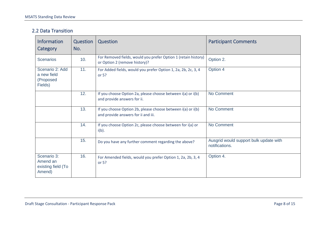#### 2.2 Data Transition

| <b>Information</b><br>Category                          | Question<br>No. | Question                                                                                           | <b>Participant Comments</b>                              |
|---------------------------------------------------------|-----------------|----------------------------------------------------------------------------------------------------|----------------------------------------------------------|
| <b>Scenarios</b>                                        | 10.             | For Removed fields, would you prefer Option 1 (retain history)<br>or Option 2 (remove history)?    | Option 2.                                                |
| Scenario 2: Add<br>a new field<br>(Proposed<br>Fields)  | 11.             | For Added fields, would you prefer Option 1, 2a, 2b, 2c, 3, 4<br>or $5?$                           | Option 4                                                 |
|                                                         | 12.             | If you choose Option 2a, please choose between i(a) or i(b)<br>and provide answers for ii.         | No Comment                                               |
|                                                         | 13.             | If you choose Option 2b, please choose between i(a) or i(b)<br>and provide answers for ii and iii. | No Comment                                               |
|                                                         | 14.             | If you choose Option 2c, please choose between for i(a) or<br>$i(b)$ .                             | No Comment                                               |
|                                                         | 15.             | Do you have any further comment regarding the above?                                               | Ausgrid would support bulk update with<br>notifications. |
| Scenario 3:<br>Amend an<br>existing field (To<br>Amend) | 16.             | For Amended fields, would you prefer Option 1, 2a, 2b, 3, 4<br>or 5?                               | Option 4.                                                |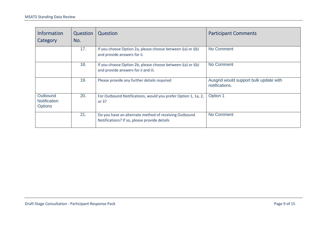| <b>Information</b><br>Category                    | Question<br>No. | Question                                                                                              | <b>Participant Comments</b>                              |
|---------------------------------------------------|-----------------|-------------------------------------------------------------------------------------------------------|----------------------------------------------------------|
|                                                   | 17.             | If you choose Option 2a, please choose between i(a) or i(b)<br>and provide answers for ii.            | No Comment                                               |
|                                                   | 18.             | If you choose Option 2b, please choose between i(a) or i(b)<br>and provide answers for ii and iii.    | No Comment                                               |
|                                                   | 19.             | Please provide any further details required                                                           | Ausgrid would support bulk update with<br>notifications. |
| Outbound<br><b>Notification</b><br><b>Options</b> | 20.             | For Outbound Notifications, would you prefer Option 1, 1a, 2,<br>or $3?$                              | Option 1                                                 |
|                                                   | 21.             | Do you have an alternate method of receiving Outbound<br>Notifications? If so, please provide details | No Comment                                               |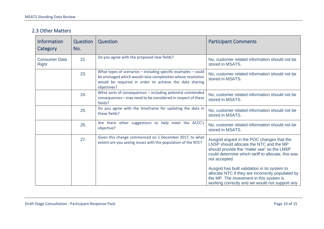#### 2.3 Other Matters

| <b>Information</b><br>Category       | Question<br>No. | Question                                                                                                                                                                                                   | <b>Participant Comments</b>                                                                                                                                                                                |
|--------------------------------------|-----------------|------------------------------------------------------------------------------------------------------------------------------------------------------------------------------------------------------------|------------------------------------------------------------------------------------------------------------------------------------------------------------------------------------------------------------|
| <b>Consumer Data</b><br><b>Right</b> | 22.             | Do you agree with the proposed new fields?                                                                                                                                                                 | No, customer related information should not be<br>stored in MSATS.                                                                                                                                         |
|                                      | 23.             | What types of scenarios $-$ including specific examples $-$ could<br>be envisaged which would raise complexities whose resolution<br>would be required in order to achieve the data sharing<br>objectives? | No, customer related information should not be<br>stored in MSATS.                                                                                                                                         |
|                                      | 24.             | What sorts of consequences - including potential unintended<br>consequences - may need to be considered in respect of these<br>fields?                                                                     | No, customer related information should not be<br>stored in MSATS.                                                                                                                                         |
|                                      | 25.             | Do you agree with the timeframe for updating the data in<br>these fields?                                                                                                                                  | No, customer related information should not be<br>stored in MSATS.                                                                                                                                         |
|                                      | 26.             | Are there other suggestions to help meet the ACCC's<br>objective?                                                                                                                                          | No, customer related information should not be<br>stored in MSATS.                                                                                                                                         |
|                                      | 27.             | Given this change commenced on 1 December 2017, to what<br>extent are you seeing issues with the population of the NTC?                                                                                    | Ausgrid argued in the POC changes that the<br>LNSP should allocate the NTC and the MP<br>should provide the "meter use" so the LNSP<br>could determine which tariff to allocate, this was<br>not accepted. |
|                                      |                 |                                                                                                                                                                                                            | Ausgrid has built validation in its system to<br>allocate NTC if they are incorrectly populated by<br>the MP. The investment in this system is<br>working correctly and we would not support any           |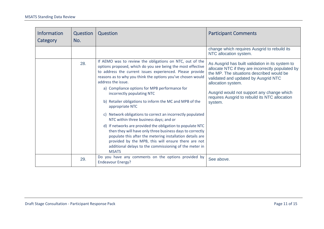<span id="page-10-0"></span>

| <b>Information</b><br><b>Category</b> | Question<br>No. | Question                                                                                                                                                                                                                                                                                                                                                 | <b>Participant Comments</b>                                                                                                                                                                                                                                    |
|---------------------------------------|-----------------|----------------------------------------------------------------------------------------------------------------------------------------------------------------------------------------------------------------------------------------------------------------------------------------------------------------------------------------------------------|----------------------------------------------------------------------------------------------------------------------------------------------------------------------------------------------------------------------------------------------------------------|
|                                       |                 |                                                                                                                                                                                                                                                                                                                                                          | change which requires Ausgrid to rebuild its<br>NTC allocation system.                                                                                                                                                                                         |
|                                       | 28.             | If AEMO was to review the obligations on NTC, out of the<br>options proposed, which do you see being the most effective<br>to address the current issues experienced. Please provide<br>reasons as to why you think the options you've chosen would<br>address the issue.<br>a) Compliance options for MPB performance for<br>incorrectly populating NTC | As Ausgrid has built validation in its system to<br>allocate NTC if they are incorrectly populated by<br>the MP. The situations described would be<br>validated and updated by Ausgrid NTC<br>allocation system.<br>Ausgrid would not support any change which |
|                                       |                 | b) Retailer obligations to inform the MC and MPB of the<br>appropriate NTC                                                                                                                                                                                                                                                                               | requires Ausgrid to rebuild its NTC allocation<br>system.                                                                                                                                                                                                      |
|                                       |                 | c) Network obligations to correct an incorrectly populated<br>NTC within three business days; and or                                                                                                                                                                                                                                                     |                                                                                                                                                                                                                                                                |
|                                       |                 | d) If networks are provided the obligation to populate NTC<br>then they will have only three business days to correctly<br>populate this after the metering installation details are<br>provided by the MPB, this will ensure there are not<br>additional delays to the commissioning of the meter in<br><b>MSATS</b>                                    |                                                                                                                                                                                                                                                                |
|                                       | 29.             | Do you have any comments on the options provided by<br><b>Endeavour Energy?</b>                                                                                                                                                                                                                                                                          | See above.                                                                                                                                                                                                                                                     |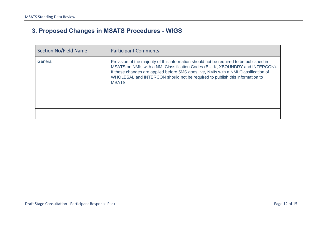# **3. Proposed Changes in MSATS Procedures - WIGS**

| <b>Section No/Field Name</b> | <b>Participant Comments</b>                                                                                                                                                                                                                                                                                                                              |
|------------------------------|----------------------------------------------------------------------------------------------------------------------------------------------------------------------------------------------------------------------------------------------------------------------------------------------------------------------------------------------------------|
| General                      | Provision of the majority of this information should not be required to be published in<br>MSATS on NMIs with a NMI Classification Codes (BULK, XBOUNDRY and INTERCON).<br>If these changes are applied before 5MS goes live, NMIs with a NMI Classification of<br>WHOLESAL and INTERCON should not be required to publish this information to<br>MSATS. |
|                              |                                                                                                                                                                                                                                                                                                                                                          |
|                              |                                                                                                                                                                                                                                                                                                                                                          |
|                              |                                                                                                                                                                                                                                                                                                                                                          |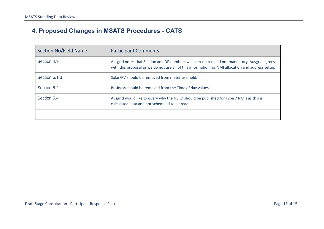# **4. Proposed Changes in MSATS Procedures - CATS**

| <b>Section No/Field Name</b> | <b>Participant Comments</b>                                                                                                                                                                       |
|------------------------------|---------------------------------------------------------------------------------------------------------------------------------------------------------------------------------------------------|
| Section 4.9                  | Ausgrid notes that Section and DP numbers will be required and not mandatory. Ausgrid agrees<br>with this proposal as we do not use all of this information for NMI allocation and address setup. |
| Section 5.1.3                | Solar/PV should be removed from meter use field.                                                                                                                                                  |
| Section 5.2                  | Business should be removed from the Time of day values.                                                                                                                                           |
| Section 5.4                  | Ausgrid would like to query why the NSRD should be published for Type 7 NMIs as this is<br>calculated data and not scheduled to be read.                                                          |
|                              |                                                                                                                                                                                                   |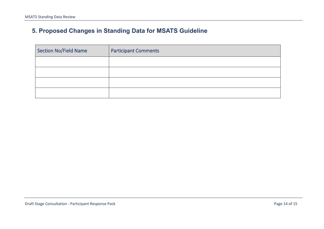# **5. Proposed Changes in Standing Data for MSATS Guideline**

| Section No/Field Name | <b>Participant Comments</b> |
|-----------------------|-----------------------------|
|                       |                             |
|                       |                             |
|                       |                             |
|                       |                             |